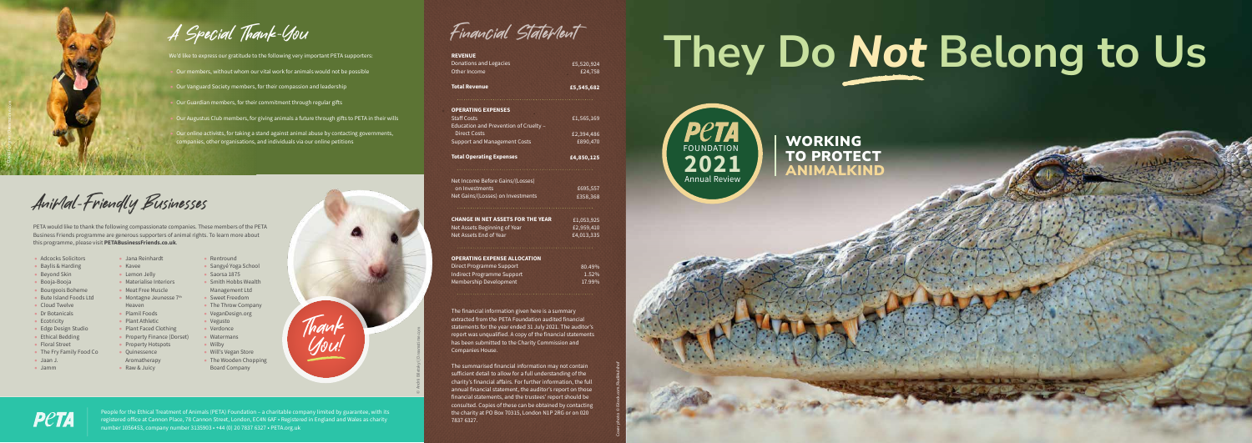Cover photo: © iStock.com/RudiHulshof

PETA would like to thank the following compassionate companies. These members of the PETA Business Friends programme are generous supporters of animal rights. To learn more about this programme, please visit **PETABusinessFriends.co.uk**.

- Kavee • Lemon Jelly
- Materialise Interiors
- Meat Free Muscle
- **Montagne Jeunesse**  $7<sup>th</sup>$ • Sweet Freedom
	- The Throw Company
	- VeganDesign.org
- Plamil Foods • Plant Athletic
	-
- Plant Faced Clothing • Property Finance (Dorset)
	- Watermans • Wilby
- Property Hotspots
	-
- Adcocks Solicitors
- Baylis & Harding
- Beyond Skin
- Booja-Booja
- Bourgeois Boheme
- Bute Island Foods Ltd
- Cloud Twelve
- Dr Botanicals
- Ecotricity
- Edge Design Studio
- Ethical Bedding
- Floral Street
- The Fry Family Food Co
- Jaan J.
- Jamm

**Rentround** • Sangyé Yoga School • Saorsa 1875 • Smith Hobbs Wealth Management Ltd

• Vegusto **Verdonce** 

• Jana Reinhardt

Heaven

• Quinessence Aromatherapy • Raw & Juicy

- 
- Will's Vegan Store • The Wooden Chopping
- Board Company

People for the Ethical Treatment of Animals (PETA) Foundation – a charitable company limited by guarantee, with its registered office at Cannon Place, 78 Cannon Street, London, EC4N 6AF • Registered in England and Wales as charity number 1056453, company number 3135903 • +44 (0) 20 7837 6327 • PETA.org.uk

**Total Operating Expenses**

## **OPERATING EXPENSE ALLOCATION**

The financial information given here is a summary extracted from the PETA Foundation audited financial statements for the year ended 31 July 2021. The auditor's report was unqualified. A copy of the financial statements has been submitted to the Charity Commission and Companies House.

| <b>REVENUE</b>                        |            |
|---------------------------------------|------------|
| Donations and Legacies                | £5,520,924 |
| Other Income                          | £24,758    |
| <b>Total Revenue</b>                  | £5,545,682 |
|                                       |            |
| <b>OPERATING EXPENSES</b>             |            |
| <b>Staff Costs</b>                    | £1,565,169 |
| Education and Prevention of Cruelty - |            |
| <b>Direct Costs</b>                   | £2,394,486 |
| <b>Support and Management Costs</b>   | £890,470   |

| Net Income Before Gains/(Losses)  |          |
|-----------------------------------|----------|
| on Investments                    | £695,557 |
| Net Gains/(Losses) on Investments | £358,368 |

| CHANGE IN NET ASSETS FOR THE YEAR<br>Net Assets Beginning of Year | £1,053,925<br>£2,959,410 |  |
|-------------------------------------------------------------------|--------------------------|--|
|                                                                   |                          |  |

| Direct Programme Support   | 80.49% |
|----------------------------|--------|
| Indirect Programme Support | 1.52%  |
| Membership Development     | 17.99% |

The summarised financial information may not contain sufficient detail to allow for a full understanding of the charity's financial affairs. For further information, the full annual financial statement, the auditor's report on those financial statements, and the trustees' report should be consulted. Copies of these can be obtained by contacting the charity at PO Box 70315, London N1P 2RG or on 020 7837 6327.

**PetA** 

**£4,850,125**

A Special Thank-You

We'd like to express our gratitude to the following very important PETA supporters:

- Our members, without whom our vital work for animals would not be possible
- Our Vanguard Society members, for their compassion and leadership
- Our Guardian members, for their commitment through regular gifts
- Our Augustus Club members, for giving animals a future through gifts to PETA in their wills
- Our online activists, for taking a stand against animal abuse by contacting governments, companies, other organisations, and individuals via our online petitions

Anirlal-Friendly Businesses



© Andrii Biletskyi | Dreamstime.com Thank You!

Financial Statement

# **They Do** *Not* **Belong to Us**

TO PROTECT

ANIMALKIND



**WORKING**